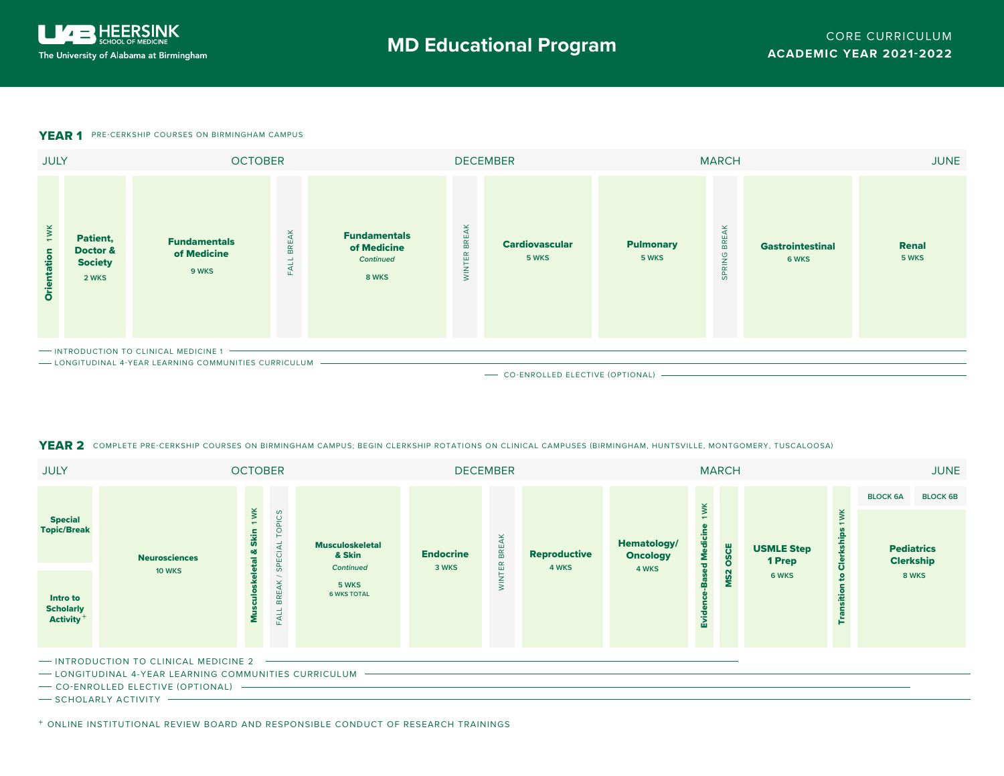## **YEAR 1** PRE-CERKSHIP COURSES ON BIRMINGHAM CAMPUS



## YEAR 2 COMPLETE PRE-CERKSHIP COURSES ON BIRMINGHAM CAMPUS; BEGIN CLERKSHIP ROTATIONS ON CLINICAL CAMPUSES (BIRMINGHAM, HUNTSVILLE, MONTGOMERY, TUSCALOOSA)

| <b>JULY</b>                                                  |                      | <b>OCTOBER</b>      |                                   |                                                 | <b>DECEMBER</b>           |                                                        | <b>MARCH</b>          |                                         |                           |      |                             | <b>JUNE</b>        |                                       |                 |
|--------------------------------------------------------------|----------------------|---------------------|-----------------------------------|-------------------------------------------------|---------------------------|--------------------------------------------------------|-----------------------|-----------------------------------------|---------------------------|------|-----------------------------|--------------------|---------------------------------------|-----------------|
|                                                              |                      |                     |                                   |                                                 |                           | $\propto$<br><b>BRE</b><br>$\mathbb{E}$<br>-<br>$\geq$ | Reproductive<br>4 WKS | Hematology/<br><b>Oncology</b><br>4 WKS | wк<br>d Medicir<br>m<br>ᇟ | OSCE | <b>USMLE Step</b><br>1 Prep |                    | <b>BLOCK 6A</b>                       | <b>BLOCK 6B</b> |
| <b>Special</b><br><b>Topic/Break</b>                         | <b>Neurosciences</b> | 1 WK<br><b>Skin</b> | <b>S</b><br>$\circ$<br>ب<br>SPECI | <b>Musculoskeletal</b><br>& Skin                | <b>Endocrine</b><br>3 WKS |                                                        |                       |                                         |                           |      |                             | ¥<br>을<br>ឹ        | <b>Pediatrics</b><br><b>Clerkship</b> |                 |
| <b>Intro to</b><br><b>Scholarly</b><br>Activity <sup>+</sup> | <b>10 WKS</b>        | Σ                   | <b>BREAK</b><br>ب<br>$\mathbb{E}$ | <b>Continued</b><br>5 WKS<br><b>6 WKS TOTAL</b> |                           |                                                        |                       |                                         |                           |      | 6 WKS                       | $\mathbf{S}$<br>Ĕ. |                                       | 8 WKS           |

- INTRODUCTION TO CLINICAL MEDICINE 2 -

- LONGITUDINAL 4-YEAR LEARNING COMMUNITIES CURRICULUM -

- CO-ENROLLED ELECTIVE (OPTIONAL) -

 $-$  SCHOLARLY ACTIVITY  $-$ 

+ ONLINE INSTITUTIONAL REVIEW BOARD AND RESPONSIBLE CONDUCT OF RESEARCH TRAININGS